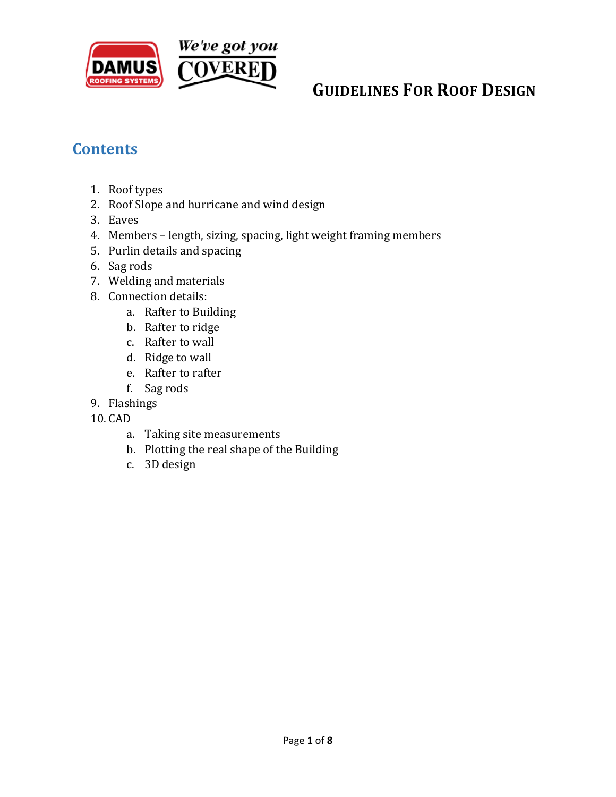

### **Contents**

- 1. Roof types
- 2. Roof Slope and hurricane and wind design
- 3. Eaves
- 4. Members length, sizing, spacing, light weight framing members
- 5. Purlin details and spacing
- 6. Sag rods
- 7. Welding and materials
- 8. Connection details:
	- a. Rafter to Building
	- b. Rafter to ridge
	- c. Rafter to wall
	- d. Ridge to wall
	- e. Rafter to rafter
	- f. Sag rods
- 9. Flashings
- 10. CAD
	- a. Taking site measurements
	- b. Plotting the real shape of the Building
	- c. 3D design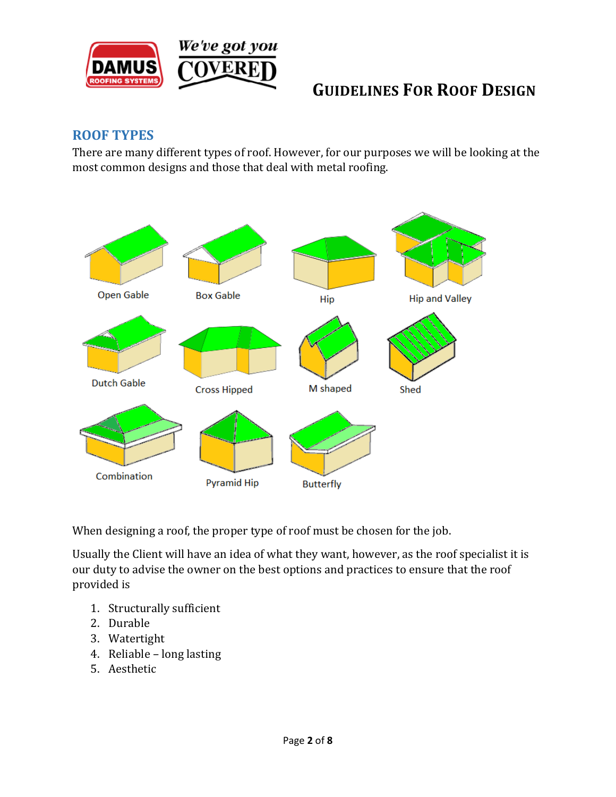

#### **ROOF TYPES**

There are many different types of roof. However, for our purposes we will be looking at the most common designs and those that deal with metal roofing.



When designing a roof, the proper type of roof must be chosen for the job.

Usually the Client will have an idea of what they want, however, as the roof specialist it is our duty to advise the owner on the best options and practices to ensure that the roof provided is

- 1. Structurally sufficient
- 2. Durable
- 3. Watertight
- 4. Reliable long lasting
- 5. Aesthetic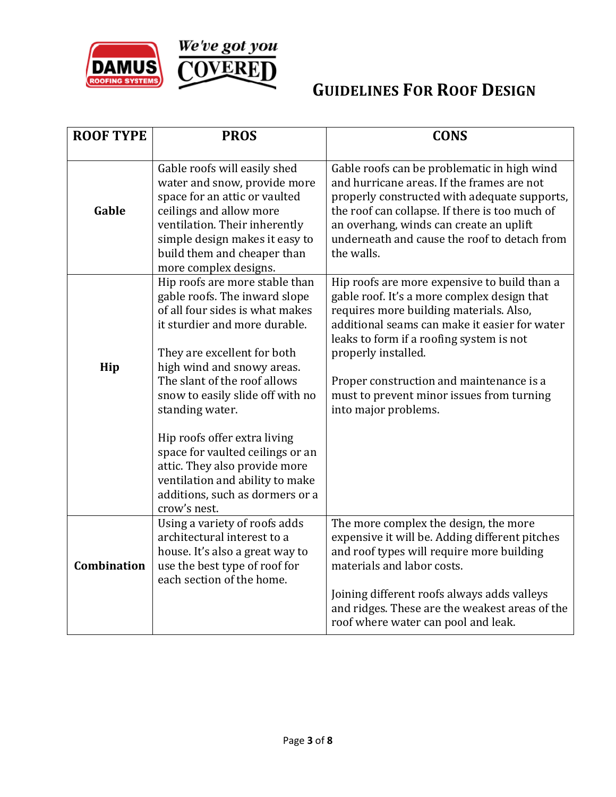

| <b>ROOF TYPE</b> | <b>PROS</b>                                                                                                                                                                                                                                                                                                                                                                                                                     | <b>CONS</b>                                                                                                                                                                                                                                                                                                                                                                 |
|------------------|---------------------------------------------------------------------------------------------------------------------------------------------------------------------------------------------------------------------------------------------------------------------------------------------------------------------------------------------------------------------------------------------------------------------------------|-----------------------------------------------------------------------------------------------------------------------------------------------------------------------------------------------------------------------------------------------------------------------------------------------------------------------------------------------------------------------------|
|                  |                                                                                                                                                                                                                                                                                                                                                                                                                                 |                                                                                                                                                                                                                                                                                                                                                                             |
| Gable            | Gable roofs will easily shed<br>water and snow, provide more<br>space for an attic or vaulted<br>ceilings and allow more<br>ventilation. Their inherently<br>simple design makes it easy to<br>build them and cheaper than<br>more complex designs.                                                                                                                                                                             | Gable roofs can be problematic in high wind<br>and hurricane areas. If the frames are not<br>properly constructed with adequate supports,<br>the roof can collapse. If there is too much of<br>an overhang, winds can create an uplift<br>underneath and cause the roof to detach from<br>the walls.                                                                        |
| Hip              | Hip roofs are more stable than<br>gable roofs. The inward slope<br>of all four sides is what makes<br>it sturdier and more durable.<br>They are excellent for both<br>high wind and snowy areas.<br>The slant of the roof allows<br>snow to easily slide off with no<br>standing water.<br>Hip roofs offer extra living<br>space for vaulted ceilings or an<br>attic. They also provide more<br>ventilation and ability to make | Hip roofs are more expensive to build than a<br>gable roof. It's a more complex design that<br>requires more building materials. Also,<br>additional seams can make it easier for water<br>leaks to form if a roofing system is not<br>properly installed.<br>Proper construction and maintenance is a<br>must to prevent minor issues from turning<br>into major problems. |
|                  | additions, such as dormers or a<br>crow's nest.                                                                                                                                                                                                                                                                                                                                                                                 |                                                                                                                                                                                                                                                                                                                                                                             |
| Combination      | Using a variety of roofs adds<br>architectural interest to a<br>house. It's also a great way to<br>use the best type of roof for<br>each section of the home.                                                                                                                                                                                                                                                                   | The more complex the design, the more<br>expensive it will be. Adding different pitches<br>and roof types will require more building<br>materials and labor costs.<br>Joining different roofs always adds valleys<br>and ridges. These are the weakest areas of the<br>roof where water can pool and leak.                                                                  |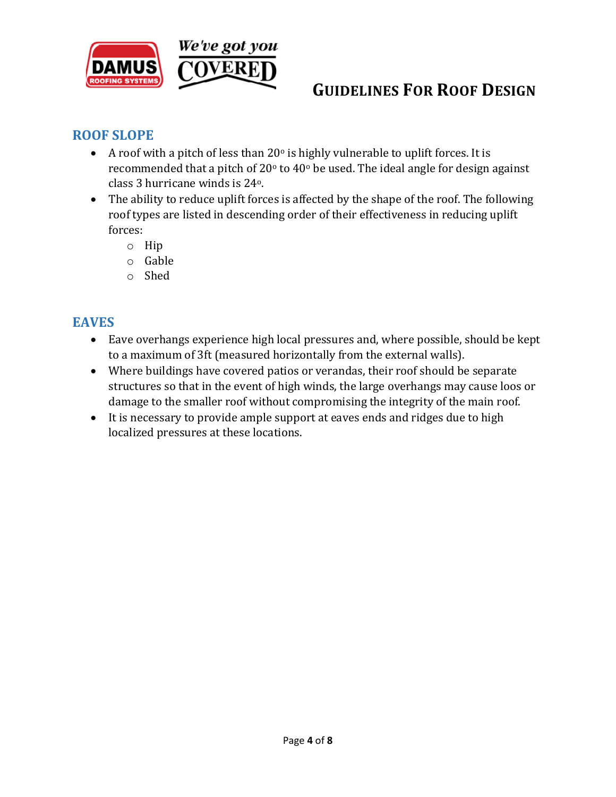

### **ROOF SLOPE**

- A roof with a pitch of less than  $20^{\circ}$  is highly vulnerable to uplift forces. It is recommended that a pitch of  $20^{\circ}$  to  $40^{\circ}$  be used. The ideal angle for design against class 3 hurricane winds is 24o.
- The ability to reduce uplift forces is affected by the shape of the roof. The following roof types are listed in descending order of their effectiveness in reducing uplift forces:
	- o Hip
	- o Gable
	- o Shed

#### **EAVES**

- Eave overhangs experience high local pressures and, where possible, should be kept to a maximum of 3ft (measured horizontally from the external walls).
- Where buildings have covered patios or verandas, their roof should be separate structures so that in the event of high winds, the large overhangs may cause loos or damage to the smaller roof without compromising the integrity of the main roof.
- It is necessary to provide ample support at eaves ends and ridges due to high localized pressures at these locations.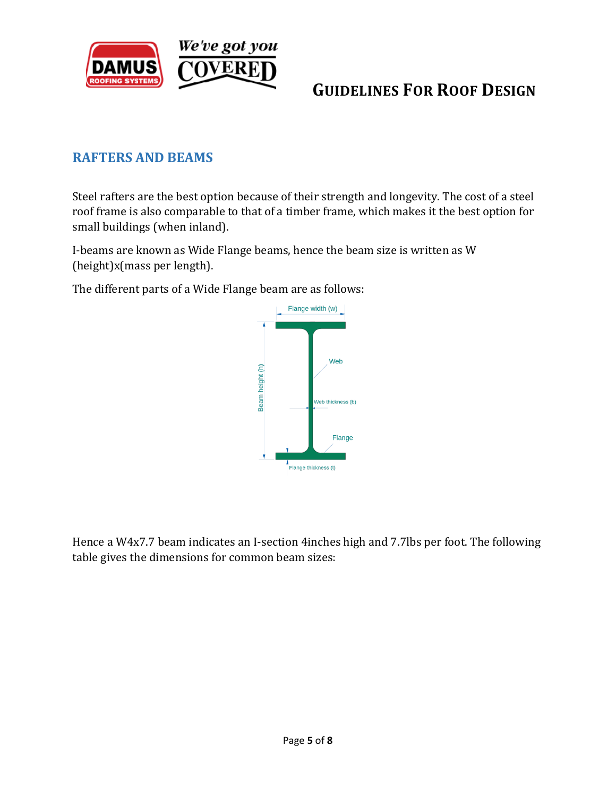

#### **RAFTERS AND BEAMS**

Steel rafters are the best option because of their strength and longevity. The cost of a steel roof frame is also comparable to that of a timber frame, which makes it the best option for small buildings (when inland).

I-beams are known as Wide Flange beams, hence the beam size is written as W (height)x(mass per length).

The different parts of a Wide Flange beam are as follows:



Hence a W4x7.7 beam indicates an I-section 4inches high and 7.7lbs per foot. The following table gives the dimensions for common beam sizes: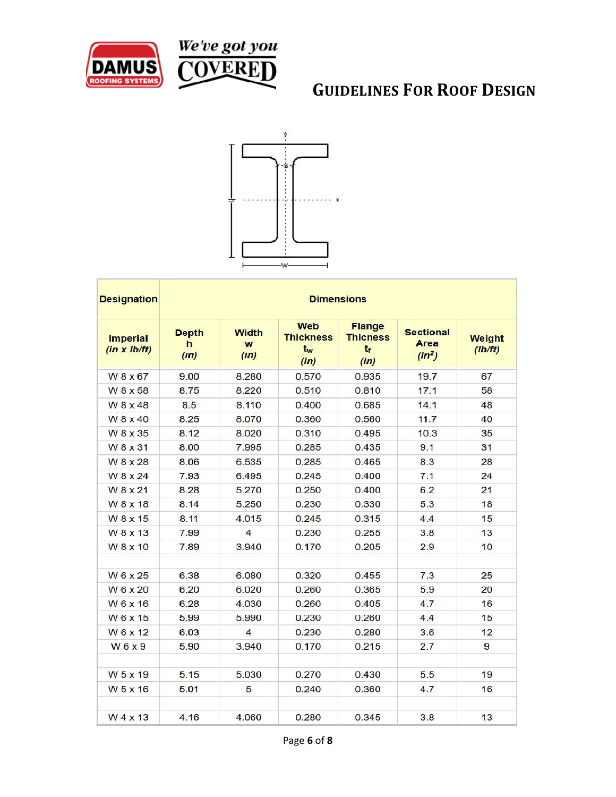





| <b>Designation</b><br><b>Imperial</b><br>(in x lb/ft) | <b>Dimensions</b>         |                           |                                              |                                                   |                                      |                   |
|-------------------------------------------------------|---------------------------|---------------------------|----------------------------------------------|---------------------------------------------------|--------------------------------------|-------------------|
|                                                       | <b>Depth</b><br>h<br>(in) | <b>Width</b><br>W<br>(in) | <b>Web</b><br><b>Thickness</b><br>tw<br>(in) | <b>Flange</b><br><b>Thicness</b><br>$t_f$<br>(in) | <b>Sectional</b><br>Area<br>$(in^2)$ | Weight<br>(Ib/ft) |
| W 8 x 67                                              | 9.00                      | 8.280                     | 0.570                                        | 0.935                                             | 19.7                                 | 67                |
| W 8 x 58                                              | 8.75                      | 8.220                     | 0.510                                        | 0.810                                             | 17.1                                 | 58                |
| W 8 x 48                                              | 8.5                       | 8.110                     | 0.400                                        | 0.685                                             | 14.1                                 | 48                |
| W 8 x 40                                              | 8.25                      | 8.070                     | 0.360                                        | 0.560                                             | 11.7                                 | 40                |
| W 8 x 35                                              | 8.12                      | 8.020                     | 0.310                                        | 0.495                                             | 10.3                                 | 35                |
| W 8 x 31                                              | 8.00                      | 7.995                     | 0.285                                        | 0.435                                             | 9.1                                  | 31                |
| W 8 x 28                                              | 8.06                      | 6.535                     | 0.285                                        | 0.465                                             | 8.3                                  | 28                |
| W 8 x 24                                              | 7.93                      | 6.495                     | 0.245                                        | 0.400                                             | 7.1                                  | 24                |
| W 8 x 21                                              | 8.28                      | 5.270                     | 0.250                                        | 0.400                                             | 6.2                                  | 21                |
| W 8 x 18                                              | 8.14                      | 5.250                     | 0.230                                        | 0.330                                             | 5.3                                  | 18                |
| W 8 x 15                                              | 8.11                      | 4.015                     | 0.245                                        | 0.315                                             | 4.4                                  | 15                |
| W 8 x 13                                              | 7.99                      | $\overline{4}$            | 0.230                                        | 0.255                                             | 3.8                                  | 13                |
| W8x10                                                 | 7.89                      | 3.940                     | 0.170                                        | 0.205                                             | 2.9                                  | 10                |
| W 6 x 25                                              | 6.38                      | 6.080                     | 0.320                                        | 0.455                                             | 7.3                                  | 25                |
| W 6 x 20                                              | 6.20                      | 6.020                     | 0.260                                        | 0.365                                             | 5.9                                  | 20                |
| W 6 x 16                                              | 6.28                      | 4.030                     | 0.260                                        | 0.405                                             | 4.7                                  | 16                |
| W6x15                                                 | 5.99                      | 5.990                     | 0.230                                        | 0.260                                             | 4.4                                  | 15                |
| W6x12                                                 | 6.03                      | 4                         | 0.230                                        | 0.280                                             | 3.6                                  | 12                |
| W6x9                                                  | 5.90                      | 3.940                     | 0.170                                        | 0.215                                             | 2.7                                  | 9                 |
| W 5 x 19                                              | 5.15                      | 5.030                     | 0.270                                        | 0.430                                             | 5.5                                  | 19                |
| W 5 x 16                                              | 5.01                      | 5                         | 0.240                                        | 0.360                                             | 4.7                                  | 16                |
| W 4 x 13                                              | 4.16                      | 4.060                     | 0.280                                        | 0.345                                             | 3.8                                  | 13                |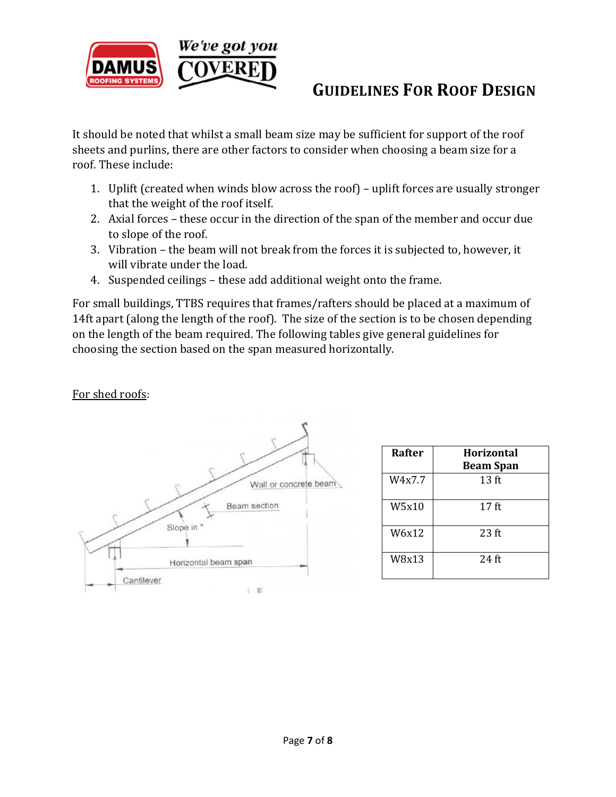

It should be noted that whilst a small beam size may be sufficient for support of the roof sheets and purlins, there are other factors to consider when choosing a beam size for a roof. These include:

- 1. Uplift (created when winds blow across the roof) uplift forces are usually stronger that the weight of the roof itself.
- 2. Axial forces these occur in the direction of the span of the member and occur due to slope of the roof.
- 3. Vibration the beam will not break from the forces it is subjected to, however, it will vibrate under the load.
- 4. Suspended ceilings these add additional weight onto the frame.

For small buildings, TTBS requires that frames/rafters should be placed at a maximum of 14ft apart (along the length of the roof). The size of the section is to be chosen depending on the length of the beam required. The following tables give general guidelines for choosing the section based on the span measured horizontally.

For shed roofs:



| <b>Rafter</b> | Horizontal<br><b>Beam Span</b> |
|---------------|--------------------------------|
| W4x7.7        | 13 <sub>f</sub>                |
| W5x10         | $17$ ft                        |
| W6x12         | $23$ ft                        |
| W8x13         | $24$ ft                        |